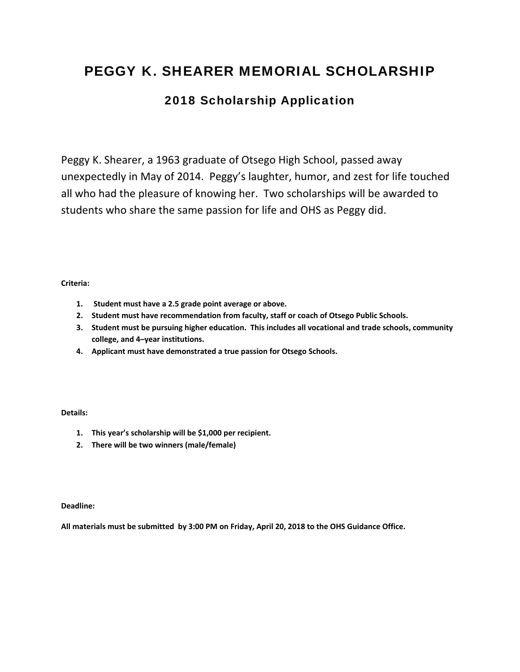## PEGGY K. SHEARER MEMORIAL SCHOLARSHIP

### 2018 Scholarship Application

Peggy K. Shearer, a 1963 graduate of Otsego High School, passed away unexpectedly in May of 2014. Peggy's laughter, humor, and zest for life touched all who had the pleasure of knowing her. Two scholarships will be awarded to students who share the same passion for life and OHS as Peggy did.

#### **Criteria:**

- **1. Student must have a 2.5 grade point average or above.**
- **2. Student must have recommendation from faculty, staff or coach of Otsego Public Schools.**
- **3. Student must be pursuing higher education. This includes all vocational and trade schools, community college, and 4–year institutions.**
- **4. Applicant must have demonstrated a true passion for Otsego Schools.**

#### **Details:**

- **1. This year's scholarship will be \$1,000 per recipient.**
- **2. There will be two winners (male/female)**

**Deadline:** 

**All materials must be submitted by 3:00 PM on Friday, April 20, 2018 to the OHS Guidance Office.**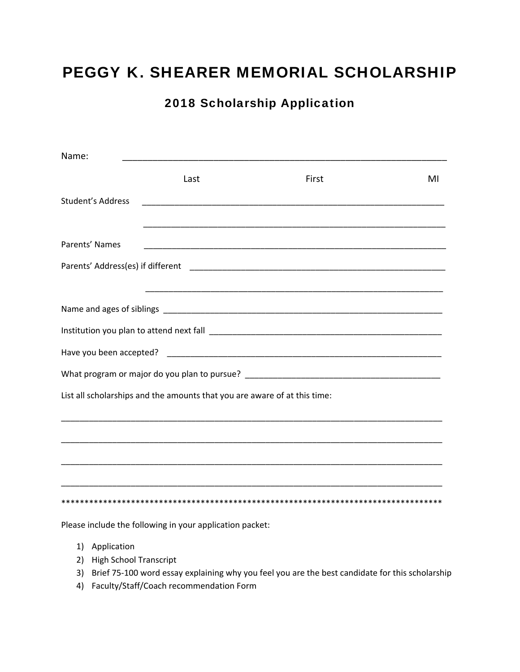## PEGGY K. SHEARER MEMORIAL SCHOLARSHIP

## 2018 Scholarship Application

| Name:             |                                                                           |                                                                                                                       |    |
|-------------------|---------------------------------------------------------------------------|-----------------------------------------------------------------------------------------------------------------------|----|
|                   | Last                                                                      | First                                                                                                                 | MI |
| Student's Address |                                                                           |                                                                                                                       |    |
|                   |                                                                           | <u> 1989 - Johann Harry Harry Harry Harry Harry Harry Harry Harry Harry Harry Harry Harry Harry Harry Harry Harry</u> |    |
| Parents' Names    |                                                                           |                                                                                                                       |    |
|                   |                                                                           |                                                                                                                       |    |
|                   |                                                                           |                                                                                                                       |    |
|                   |                                                                           |                                                                                                                       |    |
|                   |                                                                           |                                                                                                                       |    |
|                   |                                                                           |                                                                                                                       |    |
|                   | List all scholarships and the amounts that you are aware of at this time: |                                                                                                                       |    |
|                   |                                                                           |                                                                                                                       |    |
|                   |                                                                           |                                                                                                                       |    |
|                   |                                                                           |                                                                                                                       |    |
|                   |                                                                           |                                                                                                                       |    |
|                   | Please include the following in your application packet:                  |                                                                                                                       |    |

- 1) Application
- 2) High School Transcript
- 3) Brief 75-100 word essay explaining why you feel you are the best candidate for this scholarship
- 4) Faculty/Staff/Coach recommendation Form